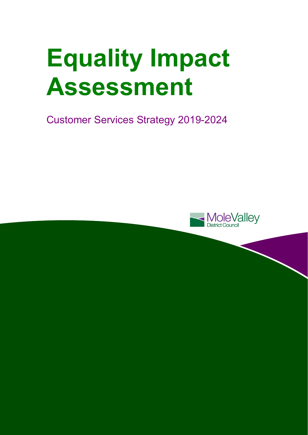# **Equality Impact Assessment**

Customer Services Strategy 2019-2024

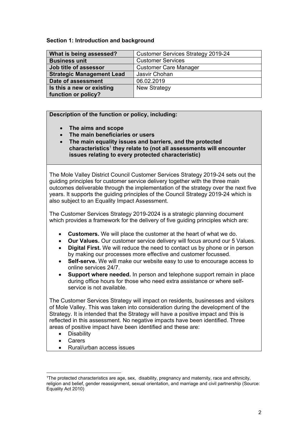#### **Section 1: Introduction and background**

| What is being assessed?          | <b>Customer Services Strategy 2019-24</b> |
|----------------------------------|-------------------------------------------|
| <b>Business unit</b>             | <b>Customer Services</b>                  |
| Job title of assessor            | <b>Customer Care Manager</b>              |
| <b>Strategic Management Lead</b> | Jasvir Chohan                             |
| Date of assessment               | 06.02.2019                                |
| Is this a new or existing        | <b>New Strategy</b>                       |
| function or policy?              |                                           |

# **Description of the function or policy, including:**

- **The aims and scope**
- **The main beneficiaries or users**
- **The main equality issues and barriers, and the protected characteristics**<sup>1</sup> **they relate to (not all assessments will encounter issues relating to every protected characteristic)**

The Mole Valley District Council Customer Services Strategy 2019-24 sets out the guiding principles for customer service delivery together with the three main outcomes deliverable through the implementation of the strategy over the next five years. It supports the guiding principles of the Council Strategy 2019-24 which is also subject to an Equality Impact Assessment.

The Customer Services Strategy 2019-2024 is a strategic planning document which provides a framework for the delivery of five guiding principles which are:

- **Customers.** We will place the customer at the heart of what we do.
- **Our Values.** Our customer service delivery will focus around our 5 Values.
- **Digital First.** We will reduce the need to contact us by phone or in person by making our processes more effective and customer focussed.
- **Self-serve.** We will make our website easy to use to encourage access to online services 24/7.
- **Support where needed.** In person and telephone support remain in place during office hours for those who need extra assistance or where selfservice is not available.

The Customer Services Strategy will impact on residents, businesses and visitors of Mole Valley. This was taken into consideration during the development of the Strategy. It is intended that the Strategy will have a positive impact and this is reflected in this assessment. No negative impacts have been identified. Three areas of positive impact have been identified and these are:

- **•** Disability
- Carers

l

Rural/urban access issues

<sup>1</sup>The protected characteristics are age, sex, disability, pregnancy and maternity, race and ethnicity, religion and belief, gender reassignment, sexual orientation, and marriage and civil partnership (Source: Equality Act 2010)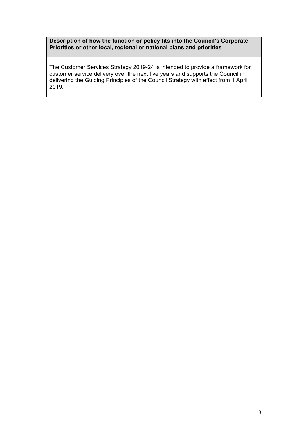### **Description of how the function or policy fits into the Council's Corporate Priorities or other local, regional or national plans and priorities**

The Customer Services Strategy 2019-24 is intended to provide a framework for customer service delivery over the next five years and supports the Council in delivering the Guiding Principles of the Council Strategy with effect from 1 April 2019.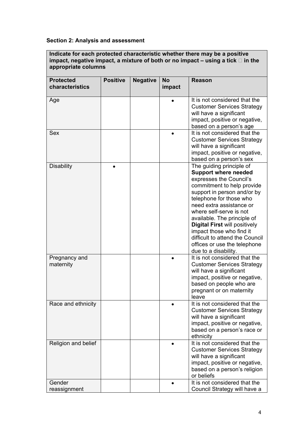# **Section 2: Analysis and assessment**

**Indicate for each protected characteristic whether there may be a positive impact, negative impact, a mixture of both or no impact – using a tick in the appropriate columns** 

| <b>Protected</b><br>characteristics | <b>Positive</b> | <b>Negative</b> | <b>No</b><br>impact | Reason                                                                                                                                                                                                                                                                                                                                                                                                                          |
|-------------------------------------|-----------------|-----------------|---------------------|---------------------------------------------------------------------------------------------------------------------------------------------------------------------------------------------------------------------------------------------------------------------------------------------------------------------------------------------------------------------------------------------------------------------------------|
| Age                                 |                 |                 |                     | It is not considered that the<br><b>Customer Services Strategy</b><br>will have a significant<br>impact, positive or negative,<br>based on a person's age                                                                                                                                                                                                                                                                       |
| <b>Sex</b>                          |                 |                 |                     | It is not considered that the<br><b>Customer Services Strategy</b><br>will have a significant<br>impact, positive or negative,<br>based on a person's sex                                                                                                                                                                                                                                                                       |
| <b>Disability</b>                   |                 |                 |                     | The guiding principle of<br><b>Support where needed</b><br>expresses the Council's<br>commitment to help provide<br>support in person and/or by<br>telephone for those who<br>need extra assistance or<br>where self-serve is not<br>available. The principle of<br><b>Digital First will positively</b><br>impact those who find it<br>difficult to attend the Council<br>offices or use the telephone<br>due to a disability. |
| Pregnancy and<br>maternity          |                 |                 |                     | It is not considered that the<br><b>Customer Services Strategy</b><br>will have a significant<br>impact, positive or negative,<br>based on people who are<br>pregnant or on maternity<br>leave                                                                                                                                                                                                                                  |
| Race and ethnicity                  |                 |                 |                     | It is not considered that the<br><b>Customer Services Strategy</b><br>will have a significant<br>impact, positive or negative,<br>based on a person's race or<br>ethnicity                                                                                                                                                                                                                                                      |
| Religion and belief                 |                 |                 |                     | It is not considered that the<br><b>Customer Services Strategy</b><br>will have a significant<br>impact, positive or negative,<br>based on a person's religion<br>or beliefs                                                                                                                                                                                                                                                    |
| Gender<br>reassignment              |                 |                 |                     | It is not considered that the<br>Council Strategy will have a                                                                                                                                                                                                                                                                                                                                                                   |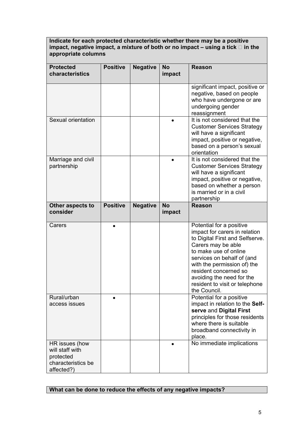**Indicate for each protected characteristic whether there may be a positive impact, negative impact, a mixture of both or no impact – using a tick □ in the appropriate columns** 

| <b>Protected</b><br>characteristics                                                | <b>Positive</b> | <b>Negative</b> | <b>No</b><br>impact | <b>Reason</b>                                                                                                                                                                                                                                                                                                    |
|------------------------------------------------------------------------------------|-----------------|-----------------|---------------------|------------------------------------------------------------------------------------------------------------------------------------------------------------------------------------------------------------------------------------------------------------------------------------------------------------------|
|                                                                                    |                 |                 |                     | significant impact, positive or<br>negative, based on people<br>who have undergone or are<br>undergoing gender<br>reassignment                                                                                                                                                                                   |
| Sexual orientation                                                                 |                 |                 |                     | It is not considered that the<br><b>Customer Services Strategy</b><br>will have a significant<br>impact, positive or negative,<br>based on a person's sexual<br>orientation                                                                                                                                      |
| Marriage and civil<br>partnership                                                  |                 |                 |                     | It is not considered that the<br><b>Customer Services Strategy</b><br>will have a significant<br>impact, positive or negative,<br>based on whether a person<br>is married or in a civil<br>partnership                                                                                                           |
| Other aspects to<br>consider                                                       | <b>Positive</b> | <b>Negative</b> | <b>No</b><br>impact | <b>Reason</b>                                                                                                                                                                                                                                                                                                    |
| Carers                                                                             |                 |                 |                     | Potential for a positive<br>impact for carers in relation<br>to Digital First and Selfserve.<br>Carers may be able<br>to make use of online<br>services on behalf of (and<br>with the permission of) the<br>resident concerned so<br>avoiding the need for the<br>resident to visit or telephone<br>the Council. |
| Rural/urban<br>access issues                                                       |                 |                 |                     | Potential for a positive<br>impact in relation to the Self-<br>serve and Digital First<br>principles for those residents<br>where there is suitable<br>broadband connectivity in<br>place.                                                                                                                       |
| HR issues (how<br>will staff with<br>protected<br>characteristics be<br>affected?) |                 |                 |                     | No immediate implications                                                                                                                                                                                                                                                                                        |

# **What can be done to reduce the effects of any negative impacts?**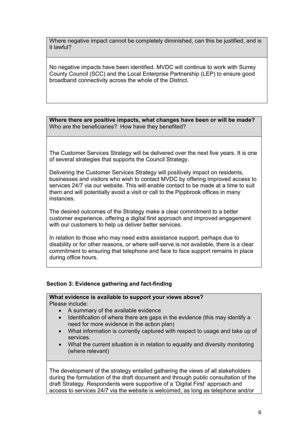Where negative impact cannot be completely diminished, can this be justified, and is it lawful?

No negative impacts have been identified. MVDC will continue to work with Surrey County Council (SCC) and the Local Enterprise Partnership (LEP) to ensure good broadband connectivity across the whole of the District.

**Where there are positive impacts, what changes have been or will be made?**  Who are the beneficiaries? How have they benefited?

The Customer Services Strategy will be delivered over the next five years. It is one of several strategies that supports the Council Strategy.

Delivering the Customer Services Strategy will positively impact on residents, businesses and visitors who wish to contact MVDC by offering improved access to services 24/7 via our website. This will enable contact to be made at a time to suit them and will potentially avoid a visit or call to the Pippbrook offices in many instances.

The desired outcomes of the Strategy make a clear commitment to a better customer experience, offering a digital first approach and improved engagement with our customers to help us deliver better services.

In relation to those who may need extra assistance support, perhaps due to disability or for other reasons, or where self-serve is not available, there is a clear commitment to ensuring that telephone and face to face support remains in place during office hours.

#### **Section 3: Evidence gathering and fact-finding**

#### **What evidence is available to support your views above?**  Please include:

- A summary of the available evidence
- Identification of where there are gaps in the evidence (this may identify a need for more evidence in the action plan)
- What information is currently captured with respect to usage and take up of services.
- What the current situation is in relation to equality and diversity monitoring (where relevant)

The development of the strategy entailed gathering the views of all stakeholders during the formulation of the draft document and through public consultation of the draft Strategy. Respondents were supportive of a 'Digital First' approach and access to services 24/7 via the website is welcomed, as long as telephone and/or